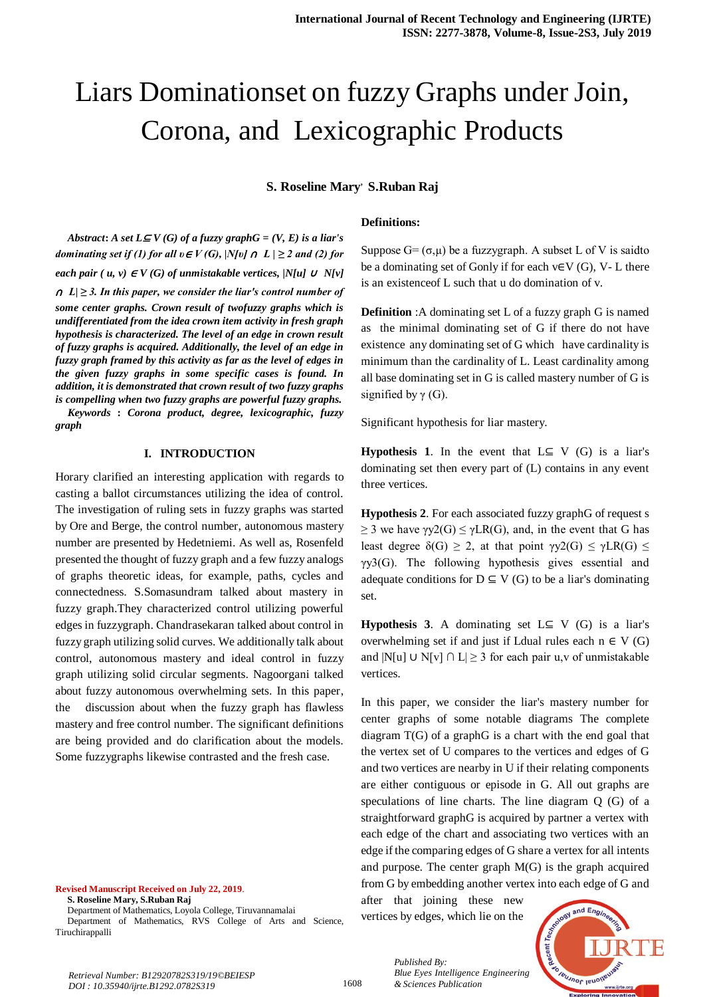# Liars Dominationset on fuzzy Graphs under Join, Corona, and Lexicographic Products

**S. Roseline Mary, S.Ruban Raj**

**Definitions:**

*Abstract***:** *A set*  $L \subseteq V(G)$  *of a fuzzy graph* $G = (V, E)$  *is a liar's dominating set if (1) for all*  $v \in V(G)$ *, |N[v]*  $\cap L$  |  $\geq$  2 and (2) for *each pair* (  $u, v$ )  $\in V(G)$  of unmistakable vertices,  $|N[u] \cup N[v]$ <sup>∩</sup> *L| ≥ 3. In this paper, we consider the liar's control number of some center graphs. Crown result of twofuzzy graphs which is undifferentiated from the idea crown item activity in fresh graph hypothesis is characterized. The level of an edge in crown result of fuzzy graphs is acquired. Additionally, the level of an edge in fuzzy graph framed by this activity as far as the level of edges in the given fuzzy graphs in some specific cases is found. In addition, it is demonstrated that crown result of two fuzzy graphs is compelling when two fuzzy graphs are powerful fuzzy graphs.*

*Keywords* **:** *Corona product, degree, lexicographic, fuzzy graph*

### **I. INTRODUCTION**

Horary clarified an interesting application with regards to casting a ballot circumstances utilizing the idea of control. The investigation of ruling sets in fuzzy graphs was started by Ore and Berge, the control number, autonomous mastery number are presented by Hedetniemi. As well as, Rosenfeld presented the thought of fuzzy graph and a few fuzzy analogs of graphs theoretic ideas, for example, paths, cycles and connectedness. S.Somasundram talked about mastery in fuzzy graph.They characterized control utilizing powerful edges in fuzzygraph. Chandrasekaran talked about control in fuzzy graph utilizing solid curves. We additionally talk about control, autonomous mastery and ideal control in fuzzy graph utilizing solid circular segments. Nagoorgani talked about fuzzy autonomous overwhelming sets. In this paper, the discussion about when the fuzzy graph has flawless mastery and free control number. The significant definitions are being provided and do clarification about the models. Some fuzzygraphs likewise contrasted and the fresh case.

### **Revised Manuscript Received on July 22, 2019**.

**S. Roseline Mary, S.Ruban Raj**

Department of Mathematics, Loyola College, Tiruvannamalai Department of Mathematics, RVS College of Arts and Science, Tiruchirappalli

Suppose  $G = (\sigma, \mu)$  be a fuzzygraph. A subset L of V is saidto be a dominating set of Gonly if for each  $v \in V(G)$ , V- L there is an existenceof L such that u do domination of v.

**Definition** :A dominating set L of a fuzzy graph G is named as the minimal dominating set of G if there do not have existence any dominating set of G which have cardinality is minimum than the cardinality of L. Least cardinality among all base dominating set in G is called mastery number of G is signified by  $\gamma$  (G).

Significant hypothesis for liar mastery.

**Hypothesis 1.** In the event that  $L \subseteq V$  (G) is a liar's dominating set then every part of (L) contains in any event three vertices.

**Hypothesis 2**. For each associated fuzzy graphG of request s  $\geq$  3 we have  $\gamma y2(G) \leq \gamma LR(G)$ , and, in the event that G has least degree  $\delta(G) \geq 2$ , at that point  $\gamma y2(G) \leq \gamma LR(G) \leq 1$ γy3(G). The following hypothesis gives essential and adequate conditions for  $D \subseteq V(G)$  to be a liar's dominating set.

**Hypothesis 3.** A dominating set  $L \subseteq V$  (G) is a liar's overwhelming set if and just if Ldual rules each  $n \in V(G)$ and |N[u] ∪ N[v] ∩ L $\geq$  3 for each pair u,v of unmistakable vertices.

In this paper, we consider the liar's mastery number for center graphs of some notable diagrams The complete diagram T(G) of a graphG is a chart with the end goal that the vertex set of U compares to the vertices and edges of G and two vertices are nearby in U if their relating components are either contiguous or episode in G. All out graphs are speculations of line charts. The line diagram Q (G) of a straightforward graphG is acquired by partner a vertex with each edge of the chart and associating two vertices with an edge if the comparing edges of G share a vertex for all intents and purpose. The center graph M(G) is the graph acquired from G by embedding another vertex into each edge of G and

after that joining these new vertices by edges, which lie on the

*& Sciences Publication* 

*Blue Eyes Intelligence Engineering* 

*Published By:*



*Retrieval Number: B12920782S319/19©BEIESP DOI : 10.35940/ijrte.B1292.0782S319*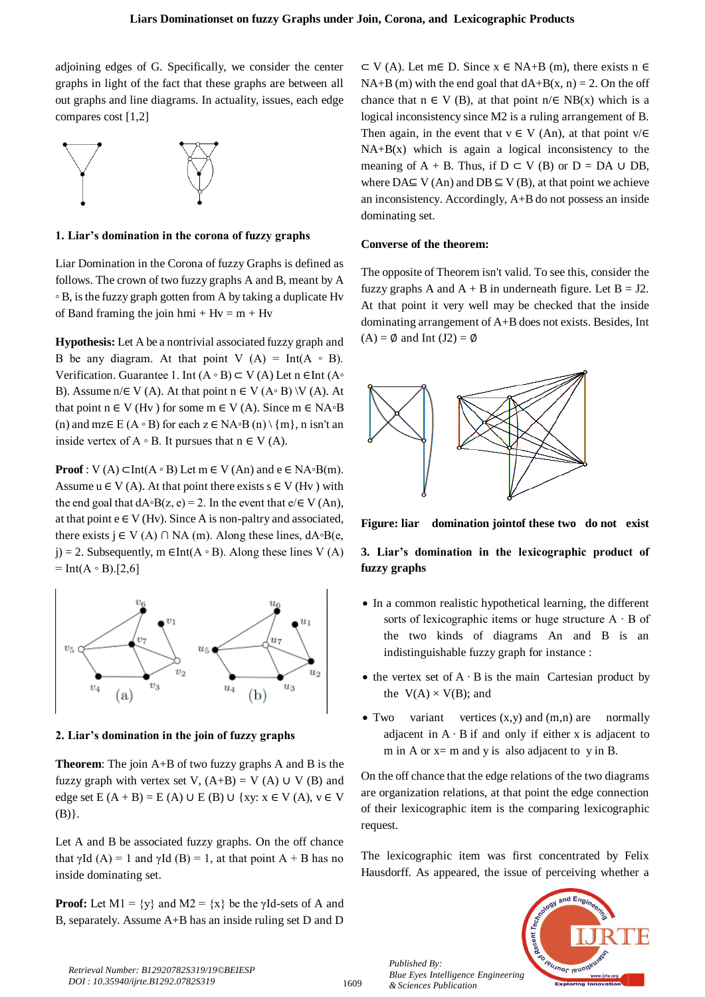adjoining edges of G. Specifically, we consider the center graphs in light of the fact that these graphs are between all out graphs and line diagrams. In actuality, issues, each edge compares cost [1,2]



**1. Liar's domination in the corona of fuzzy graphs**

Liar Domination in the Corona of fuzzy Graphs is defined as follows. The crown of two fuzzy graphs A and B, meant by A ◦ B, is the fuzzy graph gotten from A by taking a duplicate Hv of Band framing the join hmi +  $Hv = m + Hv$ 

**Hypothesis:** Let A be a nontrivial associated fuzzy graph and B be any diagram. At that point V  $(A) = Int(A \circ B)$ . Verification. Guarantee 1. Int  $(A \circ B) \subset V(A)$  Let n ∈Int  $(A \circ$ B). Assume  $n \in V(A)$ . At that point  $n \in V(A \circ B) \setminus V(A)$ . At that point n  $\in$  V (Hv) for some m  $\in$  V (A). Since m  $\in$  NA∘B (n) and mz∈ E (A ∘ B) for each  $z \in NA$ ∘B (n) \ {m}, n isn't an inside vertex of  $A \circ B$ . It pursues that  $n \in V(A)$ .

**Proof** : V (A)  $\subset$ Int(A ∘ B) Let m  $\in$  V (An) and e  $\in$  NA∘B(m). Assume  $u \in V(A)$ . At that point there exists  $s \in V(Hv)$  with the end goal that  $dA \circ B(z, e) = 2$ . In the event that  $e \in V(An)$ , at that point  $e \in V(Hv)$ . Since A is non-paltry and associated, there exists  $j \in V(A) \cap NA$  (m). Along these lines,  $dA \circ B(e,$ j) = 2. Subsequently, m  $\in$ Int(A ∘ B). Along these lines V (A)  $=$  Int(A  $\circ$  B).[2,6]



**2. Liar's domination in the join of fuzzy graphs**

**Theorem**: The join A+B of two fuzzy graphs A and B is the fuzzy graph with vertex set V,  $(A+B) = V(A) \cup V(B)$  and edge set  $E(A + B) = E(A) \cup E(B) \cup \{xy: x \in V(A), y \in V$  $(B)$ .

Let A and B be associated fuzzy graphs. On the off chance that  $\gamma$ Id (A) = 1 and  $\gamma$ Id (B) = 1, at that point A + B has no inside dominating set.

**Proof:** Let M1 =  $\{y\}$  and M2 =  $\{x\}$  be the  $\gamma$ Id-sets of A and B, separately. Assume A+B has an inside ruling set D and D

 $\subset$  V (A). Let m $\in$  D. Since x  $\in$  NA+B (m), there exists n  $\in$ NA+B (m) with the end goal that  $dA+B(x, n) = 2$ . On the off chance that  $n \in V$  (B), at that point  $n \in NB(x)$  which is a logical inconsistency since M2 is a ruling arrangement of B. Then again, in the event that  $v \in V$  (An), at that point  $v/E$  $NA+B(x)$  which is again a logical inconsistency to the meaning of A + B. Thus, if  $D \subset V$  (B) or  $D = DA \cup DB$ , where  $DA \subseteq V (An)$  and  $DB \subseteq V (B)$ , at that point we achieve an inconsistency. Accordingly, A+B do not possess an inside dominating set.

## **Converse of the theorem:**

The opposite of Theorem isn't valid. To see this, consider the fuzzy graphs A and  $A + B$  in underneath figure. Let  $B = J2$ . At that point it very well may be checked that the inside dominating arrangement of A+B does not exists. Besides, Int  $(A) = \emptyset$  and Int  $(J2) = \emptyset$ 



**Figure: liar domination jointof these two do not exist**

**3. Liar's domination in the lexicographic product of fuzzy graphs**

- In a common realistic hypothetical learning, the different sorts of lexicographic items or huge structure A ∙ B of the two kinds of diagrams An and B is an indistinguishable fuzzy graph for instance :
- the vertex set of  $A \cdot B$  is the main [Cartesian product](https://en.wikipedia.org/wiki/Cartesian_product) by the  $V(A) \times V(B)$ ; and
- Two variant vertices  $(x,y)$  and  $(m,n)$  are normally adjacent in A ∙ B if and only if either x is adjacent to m in A or  $x=$  m and y is also adjacent to y in B.

On the off chance that the edge relations of the two diagrams are organization relations, at that point the edge connection of their lexicographic item is the comparing lexicographic request.

The lexicographic item was first concentrated by Felix Hausdorff. As appeared, the issue of perceiving whether a



1609

*Published By: Blue Eyes Intelligence Engineering & Sciences Publication*